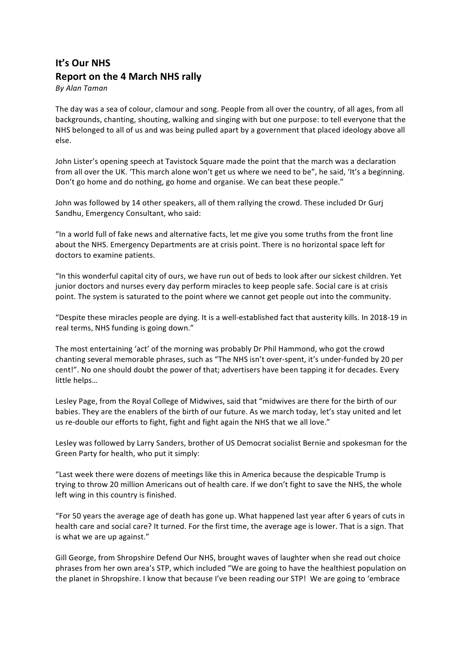## **It's Our NHS Report on the 4 March NHS rally**

*By Alan Taman*

The day was a sea of colour, clamour and song. People from all over the country, of all ages, from all backgrounds, chanting, shouting, walking and singing with but one purpose: to tell everyone that the NHS belonged to all of us and was being pulled apart by a government that placed ideology above all else.

John Lister's opening speech at Tavistock Square made the point that the march was a declaration from all over the UK. 'This march alone won't get us where we need to be", he said, 'It's a beginning. Don't go home and do nothing, go home and organise. We can beat these people."

John was followed by 14 other speakers, all of them rallying the crowd. These included Dr Gurj Sandhu, Emergency Consultant, who said:

"In a world full of fake news and alternative facts, let me give you some truths from the front line about the NHS. Emergency Departments are at crisis point. There is no horizontal space left for doctors to examine patients.

"In this wonderful capital city of ours, we have run out of beds to look after our sickest children. Yet junior doctors and nurses every day perform miracles to keep people safe. Social care is at crisis point. The system is saturated to the point where we cannot get people out into the community.

"Despite these miracles people are dying. It is a well-established fact that austerity kills. In 2018-19 in real terms, NHS funding is going down."

The most entertaining 'act' of the morning was probably Dr Phil Hammond, who got the crowd chanting several memorable phrases, such as "The NHS isn't over-spent, it's under-funded by 20 per cent!". No one should doubt the power of that; advertisers have been tapping it for decades. Every little helps...

Lesley Page, from the Royal College of Midwives, said that "midwives are there for the birth of our babies. They are the enablers of the birth of our future. As we march today, let's stay united and let us re-double our efforts to fight, fight and fight again the NHS that we all love."

Lesley was followed by Larry Sanders, brother of US Democrat socialist Bernie and spokesman for the Green Party for health, who put it simply:

"Last week there were dozens of meetings like this in America because the despicable Trump is trying to throw 20 million Americans out of health care. If we don't fight to save the NHS, the whole left wing in this country is finished.

"For 50 years the average age of death has gone up. What happened last year after 6 years of cuts in health care and social care? It turned. For the first time, the average age is lower. That is a sign. That is what we are up against."

Gill George, from Shropshire Defend Our NHS, brought waves of laughter when she read out choice phrases from her own area's STP, which included "We are going to have the healthiest population on the planet in Shropshire. I know that because I've been reading our STP! We are going to 'embrace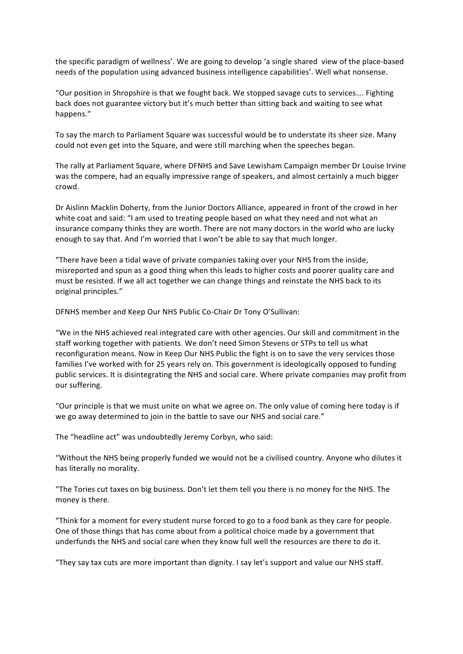the specific paradigm of wellness'. We are going to develop 'a single shared view of the place-based needs of the population using advanced business intelligence capabilities'. Well what nonsense.

"Our position in Shropshire is that we fought back. We stopped savage cuts to services.... Fighting back does not guarantee victory but it's much better than sitting back and waiting to see what happens."

To say the march to Parliament Square was successful would be to understate its sheer size. Many could not even get into the Square, and were still marching when the speeches began.

The rally at Parliament Square, where DFNHS and Save Lewisham Campaign member Dr Louise Irvine was the compere, had an equally impressive range of speakers, and almost certainly a much bigger crowd. 

Dr Aislinn Macklin Doherty, from the Junior Doctors Alliance, appeared in front of the crowd in her white coat and said: "I am used to treating people based on what they need and not what an insurance company thinks they are worth. There are not many doctors in the world who are lucky enough to say that. And I'm worried that I won't be able to say that much longer.

"There have been a tidal wave of private companies taking over your NHS from the inside, misreported and spun as a good thing when this leads to higher costs and poorer quality care and must be resisted. If we all act together we can change things and reinstate the NHS back to its original principles."

DFNHS member and Keep Our NHS Public Co-Chair Dr Tony O'Sullivan:

"We in the NHS achieved real integrated care with other agencies. Our skill and commitment in the staff working together with patients. We don't need Simon Stevens or STPs to tell us what reconfiguration means. Now in Keep Our NHS Public the fight is on to save the very services those families I've worked with for 25 years rely on. This government is ideologically opposed to funding public services. It is disintegrating the NHS and social care. Where private companies may profit from our suffering.

"Our principle is that we must unite on what we agree on. The only value of coming here today is if we go away determined to join in the battle to save our NHS and social care."

The "headline act" was undoubtedly Jeremy Corbyn, who said:

"Without the NHS being properly funded we would not be a civilised country. Anyone who dilutes it has literally no morality.

"The Tories cut taxes on big business. Don't let them tell you there is no money for the NHS. The money is there.

"Think for a moment for every student nurse forced to go to a food bank as they care for people. One of those things that has come about from a political choice made by a government that underfunds the NHS and social care when they know full well the resources are there to do it.

"They say tax cuts are more important than dignity. I say let's support and value our NHS staff.